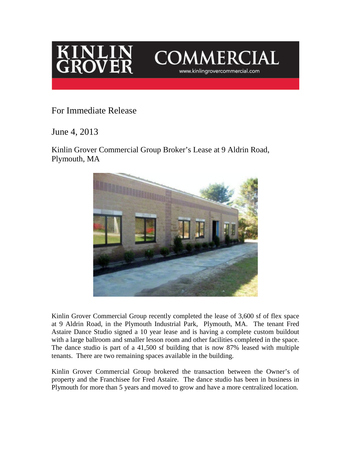



## For Immediate Release

June 4, 2013

Kinlin Grover Commercial Group Broker's Lease at 9 Aldrin Road, Plymouth, MA



Kinlin Grover Commercial Group recently completed the lease of 3,600 sf of flex space at 9 Aldrin Road, in the Plymouth Industrial Park, Plymouth, MA. The tenant Fred Astaire Dance Studio signed a 10 year lease and is having a complete custom buildout with a large ballroom and smaller lesson room and other facilities completed in the space. The dance studio is part of a 41,500 sf building that is now 87% leased with multiple tenants. There are two remaining spaces available in the building.

Kinlin Grover Commercial Group brokered the transaction between the Owner's of property and the Franchisee for Fred Astaire. The dance studio has been in business in Plymouth for more than 5 years and moved to grow and have a more centralized location.